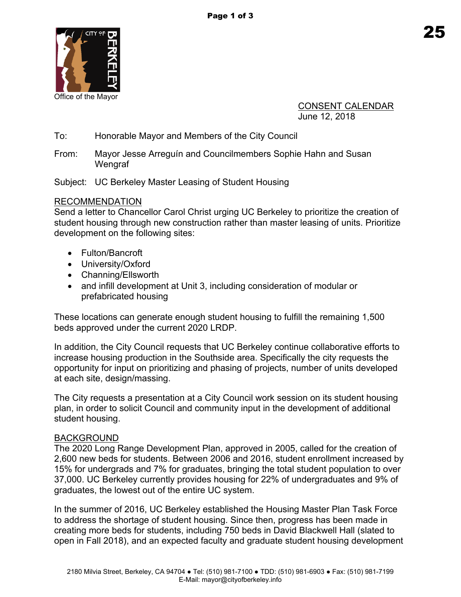

Office of the Mayor

CONSENT CALENDAR June 12, 2018

To: Honorable Mayor and Members of the City Council

From: Mayor Jesse Arreguín and Councilmembers Sophie Hahn and Susan **Wengraf** 

Subject: UC Berkeley Master Leasing of Student Housing

## RECOMMENDATION

Send a letter to Chancellor Carol Christ urging UC Berkeley to prioritize the creation of student housing through new construction rather than master leasing of units. Prioritize development on the following sites:

- Fulton/Bancroft
- University/Oxford
- Channing/Ellsworth
- and infill development at Unit 3, including consideration of modular or prefabricated housing

These locations can generate enough student housing to fulfill the remaining 1,500 beds approved under the current 2020 LRDP.

In addition, the City Council requests that UC Berkeley continue collaborative efforts to increase housing production in the Southside area. Specifically the city requests the opportunity for input on prioritizing and phasing of projects, number of units developed at each site, design/massing.

The City requests a presentation at a City Council work session on its student housing plan, in order to solicit Council and community input in the development of additional student housing.

## BACKGROUND

The 2020 Long Range Development Plan, approved in 2005, called for the creation of 2,600 new beds for students. Between 2006 and 2016, student enrollment increased by 15% for undergrads and 7% for graduates, bringing the total student population to over 37,000. UC Berkeley currently provides housing for 22% of undergraduates and 9% of graduates, the lowest out of the entire UC system.

In the summer of 2016, UC Berkeley established the Housing Master Plan Task Force to address the shortage of student housing. Since then, progress has been made in creating more beds for students, including 750 beds in David Blackwell Hall (slated to open in Fall 2018), and an expected faculty and graduate student housing development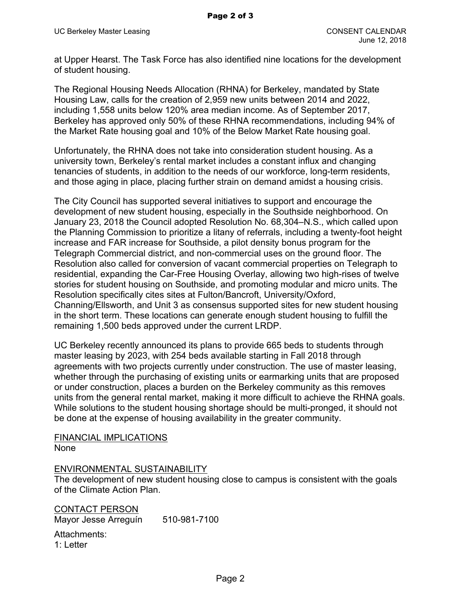at Upper Hearst. The Task Force has also identified nine locations for the development of student housing.

The Regional Housing Needs Allocation (RHNA) for Berkeley, mandated by State Housing Law, calls for the creation of 2,959 new units between 2014 and 2022, including 1,558 units below 120% area median income. As of September 2017, Berkeley has approved only 50% of these RHNA recommendations, including 94% of the Market Rate housing goal and 10% of the Below Market Rate housing goal.

Unfortunately, the RHNA does not take into consideration student housing. As a university town, Berkeley's rental market includes a constant influx and changing tenancies of students, in addition to the needs of our workforce, long-term residents, and those aging in place, placing further strain on demand amidst a housing crisis.

The City Council has supported several initiatives to support and encourage the development of new student housing, especially in the Southside neighborhood. On January 23, 2018 the Council adopted Resolution No. 68,304–N.S., which called upon the Planning Commission to prioritize a litany of referrals, including a twenty-foot height increase and FAR increase for Southside, a pilot density bonus program for the Telegraph Commercial district, and non-commercial uses on the ground floor. The Resolution also called for conversion of vacant commercial properties on Telegraph to residential, expanding the Car-Free Housing Overlay, allowing two high-rises of twelve stories for student housing on Southside, and promoting modular and micro units. The Resolution specifically cites sites at Fulton/Bancroft, University/Oxford, Channing/Ellsworth, and Unit 3 as consensus supported sites for new student housing in the short term. These locations can generate enough student housing to fulfill the remaining 1,500 beds approved under the current LRDP.

UC Berkeley recently announced its plans to provide 665 beds to students through master leasing by 2023, with 254 beds available starting in Fall 2018 through agreements with two projects currently under construction. The use of master leasing, whether through the purchasing of existing units or earmarking units that are proposed or under construction, places a burden on the Berkeley community as this removes units from the general rental market, making it more difficult to achieve the RHNA goals. While solutions to the student housing shortage should be multi-pronged, it should not be done at the expense of housing availability in the greater community.

FINANCIAL IMPLICATIONS None

## ENVIRONMENTAL SUSTAINABILITY

The development of new student housing close to campus is consistent with the goals of the Climate Action Plan.

CONTACT PERSON Mayor Jesse Arreguín 510-981-7100 Attachments: 1: Letter